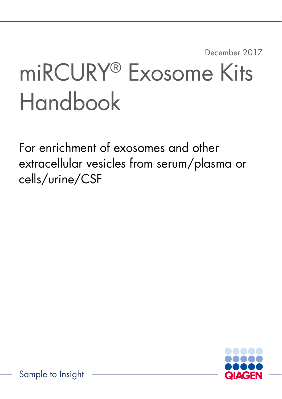December 2017

# miRCURY® Exosome Kits Handbook

For enrichment of exosomes and other extracellular vesicles from serum/plasma or cells/urine/CSF

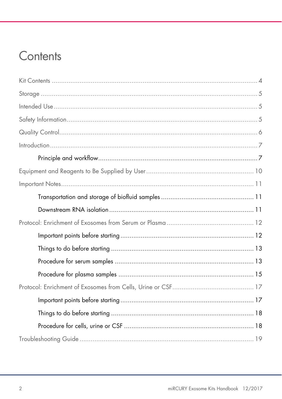### Contents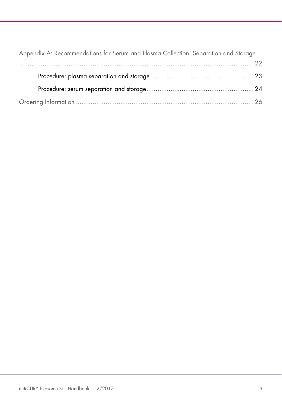| Appendix A: Recommendations for Serum and Plasma Collection, Separation and Storage |
|-------------------------------------------------------------------------------------|
|                                                                                     |
|                                                                                     |
|                                                                                     |
|                                                                                     |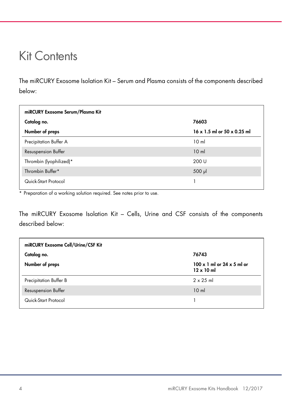### Kit Contents

The miRCURY Exosome Isolation Kit – Serum and Plasma consists of the components described below:

| miRCURY Exosome Serum/Plasma Kit |                                           |  |  |
|----------------------------------|-------------------------------------------|--|--|
| Catalog no.                      | 76603                                     |  |  |
| Number of preps                  | $16 \times 1.5$ ml or $50 \times 0.25$ ml |  |  |
| Precipitation Buffer A           | 10 <sub>m</sub>                           |  |  |
| Resuspension Buffer              | 10 <sub>m</sub>                           |  |  |
| Thrombin (lyophilized)*          | 200 U                                     |  |  |
| Thrombin Buffer*                 | $500$ $\mu$                               |  |  |
| Quick-Start Protocol             |                                           |  |  |

\* Preparation of a working solution required. See notes prior to use.

The miRCURY Exosome Isolation Kit – Cells, Urine and CSF consists of the components described below:

| miRCURY Exosome Cell/Urine/CSF Kit |                                                               |
|------------------------------------|---------------------------------------------------------------|
| Catalog no.                        | 76743                                                         |
| Number of preps                    | $100 \times 1$ ml or $24 \times 5$ ml or<br>$12 \times 10$ ml |
| Precipitation Buffer B             | $2 \times 25$ ml                                              |
| Resuspension Buffer                | 10 <sub>m</sub>                                               |
| Quick-Start Protocol               |                                                               |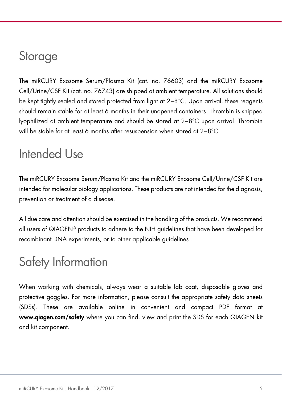### **Storage**

The miRCURY Exosome Serum/Plasma Kit (cat. no. 76603) and the miRCURY Exosome Cell/Urine/CSF Kit (cat. no. 76743) are shipped at ambient temperature. All solutions should be kept tightly sealed and stored protected from light at 2−8°C. Upon arrival, these reagents should remain stable for at least 6 months in their unopened containers. Thrombin is shipped lyophilized at ambient temperature and should be stored at 2−8°C upon arrival. Thrombin will be stable for at least 6 months after resuspension when stored at 2−8°C.

### Intended Use

The miRCURY Exosome Serum/Plasma Kit and the miRCURY Exosome Cell/Urine/CSF Kit are intended for molecular biology applications. These products are not intended for the diagnosis, prevention or treatment of a disease.

All due care and attention should be exercised in the handling of the products. We recommend all users of QIAGEN® products to adhere to the NIH guidelines that have been developed for recombinant DNA experiments, or to other applicable guidelines.

# Safety Information

When working with chemicals, always wear a suitable lab coat, disposable gloves and protective goggles. For more information, please consult the appropriate safety data sheets (SDSs). These are available online in convenient and compact PDF format at www.qiagen.com/safety where you can find, view and print the SDS for each QIAGEN kit and kit component.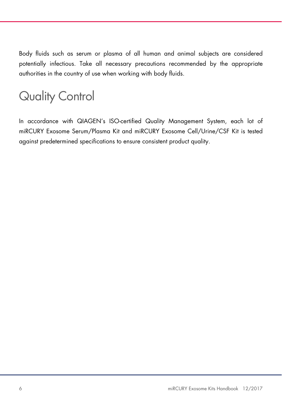Body fluids such as serum or plasma of all human and animal subjects are considered potentially infectious. Take all necessary precautions recommended by the appropriate authorities in the country of use when working with body fluids.

# Quality Control

In accordance with QIAGEN's ISO-certified Quality Management System, each lot of miRCURY Exosome Serum/Plasma Kit and miRCURY Exosome Cell/Urine/CSF Kit is tested against predetermined specifications to ensure consistent product quality.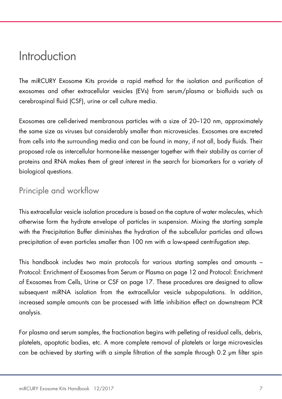### Introduction

The miRCURY Exosome Kits provide a rapid method for the isolation and purification of exosomes and other extracellular vesicles (EVs) from serum/plasma or biofluids such as cerebrospinal fluid (CSF), urine or cell culture media.

Exosomes are cell-derived membranous particles with a size of 20–120 nm, approximately the same size as viruses but considerably smaller than microvesicles. Exosomes are excreted from cells into the surrounding media and can be found in many, if not all, body fluids. Their proposed role as intercellular hormone-like messenger together with their stability as carrier of proteins and RNA makes them of great interest in the search for biomarkers for a variety of biological questions.

### Principle and workflow

This extracellular vesicle isolation procedure is based on the capture of water molecules, which otherwise form the hydrate envelope of particles in suspension. Mixing the starting sample with the Precipitation Buffer diminishes the hydration of the subcellular particles and allows precipitation of even particles smaller than 100 nm with a low-speed centrifugation step.

This handbook includes two main protocols for various starting samples and amounts – Protocol: Enrichment of Exosomes from Serum or Plasma on page 12 and Protocol: Enrichment of Exosomes from Cells, Urine or CSF on page 17. These procedures are designed to allow subsequent miRNA isolation from the extracellular vesicle subpopulations. In addition, increased sample amounts can be processed with little inhibition effect on downstream PCR analysis.

For plasma and serum samples, the fractionation begins with pelleting of residual cells, debris, platelets, apoptotic bodies, etc. A more complete removal of platelets or large microvesicles can be achieved by starting with a simple filtration of the sample through 0.2 μm filter spin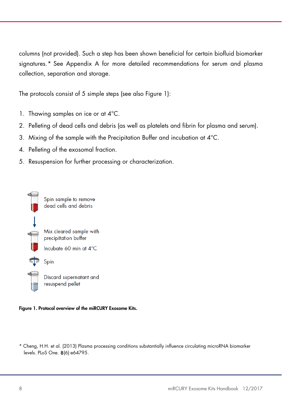columns (not provided). Such a step has been shown beneficial for certain biofluid biomarker signatures.\* See Appendix A for more detailed recommendations for serum and plasma collection, separation and storage.

The protocols consist of 5 simple steps (see also Figure 1):

- 1. Thawing samples on ice or at 4°C.
- 2. Pelleting of dead cells and debris (as well as platelets and fibrin for plasma and serum).
- 3. Mixing of the sample with the Precipitation Buffer and incubation at 4°C.
- 4. Pelleting of the exosomal fraction.
- 5. Resuspension for further processing or characterization.



#### Figure 1. Protocol overview of the miRCURY Exosome Kits.

\* Cheng, H.H. et al. (2013) Plasma processing conditions substantially influence circulating microRNA biomarker levels. PLoS One. 8(6):e64795.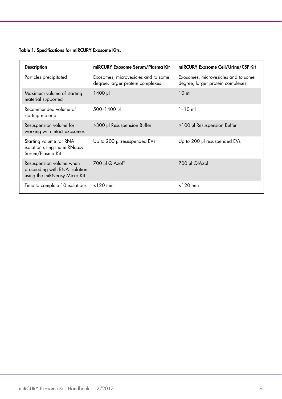#### Table 1. Specifications for miRCURY Exosome Kits.

| <b>Description</b>                                                                        | miRCURY Exosome Serum/Plasma Kit                                        | miRCURY Exosome Cell/Urine/CSF Kit                                      |
|-------------------------------------------------------------------------------------------|-------------------------------------------------------------------------|-------------------------------------------------------------------------|
| Particles precipitated                                                                    | Exosomes, microvesicles and to some<br>degree, larger protein complexes | Exosomes, microvesicles and to some<br>degree, larger protein complexes |
| Maximum volume of starting<br>material supported                                          | $1400 \text{ pl}$                                                       | 10 <sub>ml</sub>                                                        |
| Recommended volume of<br>starting material                                                | 500-1400 µl                                                             | $1 - 10$ m                                                              |
| Resuspension volume for<br>working with intact exosomes                                   | $\geq$ 300 µl Resuspension Buffer                                       | $\geq$ 100 µl Resuspension Buffer                                       |
| Starting volume for RNA<br>isolation using the miRNeasy<br>Serum/Plasma Kit               | Up to 200 µl resuspended EVs                                            | Up to 200 µl resuspended EVs                                            |
| Resuspension volume when<br>proceeding with RNA isolation<br>using the miRNeasy Micro Kit | 700 µl QIAzol®                                                          | 700 µl QIAzol                                                           |
| Time to complete 10 isolations                                                            | $<$ 120 min                                                             | $<$ 120 min                                                             |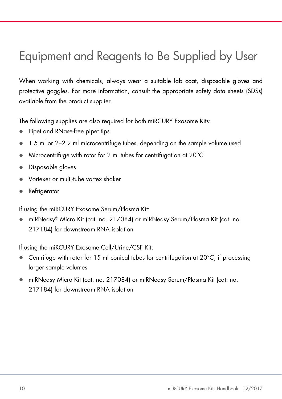# Equipment and Reagents to Be Supplied by User

When working with chemicals, always wear a suitable lab coat, disposable gloves and protective goggles. For more information, consult the appropriate safety data sheets (SDSs) available from the product supplier.

The following supplies are also required for both miRCURY Exosome Kits:

- Pipet and RNase-free pipet tips
- 1.5 ml or 2–2.2 ml microcentrifuge tubes, depending on the sample volume used
- Microcentrifuge with rotor for 2 ml tubes for centrifugation at 20°C
- **Disposable gloves**
- Vortexer or multi-tube vortex shaker
- **•** Refrigerator

If using the miRCURY Exosome Serum/Plasma Kit:

 miRNeasy® Micro Kit (cat. no. 217084) or miRNeasy Serum/Plasma Kit (cat. no. 217184) for downstream RNA isolation

If using the miRCURY Exosome Cell/Urine/CSF Kit:

- Centrifuge with rotor for 15 ml conical tubes for centrifugation at 20°C, if processing larger sample volumes
- miRNeasy Micro Kit (cat. no. 217084) or miRNeasy Serum/Plasma Kit (cat. no. 217184) for downstream RNA isolation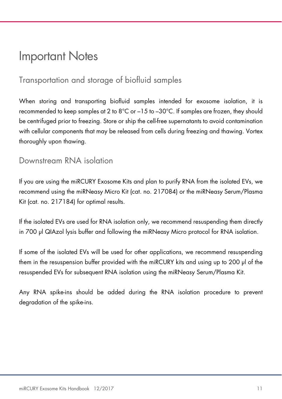### Important Notes

### Transportation and storage of biofluid samples

When storing and transporting biofluid samples intended for exosome isolation, it is recommended to keep samples at 2 to  $8^{\circ}$ C or  $-15$  to  $-30^{\circ}$ C. If samples are frozen, they should be centrifuged prior to freezing. Store or ship the cell-free supernatants to avoid contamination with cellular components that may be released from cells during freezing and thawing. Vortex thoroughly upon thawing.

#### Downstream RNA isolation

If you are using the miRCURY Exosome Kits and plan to purify RNA from the isolated EVs, we recommend using the miRNeasy Micro Kit (cat. no. 217084) or the miRNeasy Serum/Plasma Kit (cat. no. 217184) for optimal results.

If the isolated EVs are used for RNA isolation only, we recommend resuspending them directly in 700 μl QIAzol lysis buffer and following the miRNeasy Micro protocol for RNA isolation.

If some of the isolated EVs will be used for other applications, we recommend resuspending them in the resuspension buffer provided with the miRCURY kits and using up to 200 μl of the resuspended EVs for subsequent RNA isolation using the miRNeasy Serum/Plasma Kit.

Any RNA spike-ins should be added during the RNA isolation procedure to prevent degradation of the spike-ins.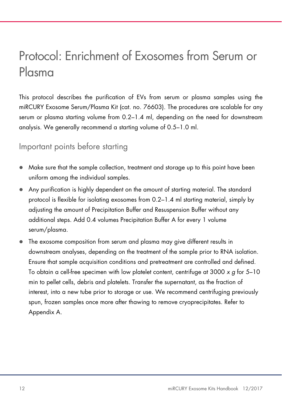## Protocol: Enrichment of Exosomes from Serum or Plasma

This protocol describes the purification of EVs from serum or plasma samples using the miRCURY Exosome Serum/Plasma Kit (cat. no. 76603). The procedures are scalable for any serum or plasma starting volume from 0.2–1.4 ml, depending on the need for downstream analysis. We generally recommend a starting volume of 0.5–1.0 ml.

### Important points before starting

- Make sure that the sample collection, treatment and storage up to this point have been uniform among the individual samples.
- Any purification is highly dependent on the amount of starting material. The standard protocol is flexible for isolating exosomes from 0.2–1.4 ml starting material, simply by adjusting the amount of Precipitation Buffer and Resuspension Buffer without any additional steps. Add 0.4 volumes Precipitation Buffer A for every 1 volume serum/plasma.
- The exosome composition from serum and plasma may give different results in downstream analyses, depending on the treatment of the sample prior to RNA isolation. Ensure that sample acquisition conditions and pretreatment are controlled and defined. To obtain a cell-free specimen with low platelet content, centrifuge at 3000  $\times$  g for 5–10 min to pellet cells, debris and platelets. Transfer the supernatant, as the fraction of interest, into a new tube prior to storage or use. We recommend centrifuging previously spun, frozen samples once more after thawing to remove cryoprecipitates. Refer to Appendix A.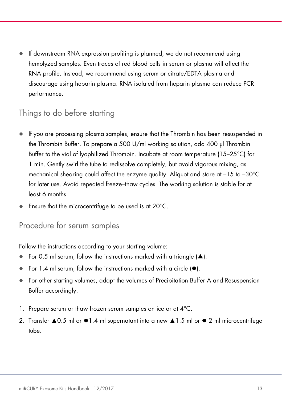If downstream RNA expression profiling is planned, we do not recommend using hemolyzed samples. Even traces of red blood cells in serum or plasma will affect the RNA profile. Instead, we recommend using serum or citrate/EDTA plasma and discourage using heparin plasma. RNA isolated from heparin plasma can reduce PCR performance.

### Things to do before starting

- If you are processing plasma samples, ensure that the Thrombin has been resuspended in the Thrombin Buffer. To prepare a 500 U/ml working solution, add 400 μl Thrombin Buffer to the vial of lyophilized Thrombin. Incubate at room temperature (15–25°C) for 1 min. Gently swirl the tube to redissolve completely, but avoid vigorous mixing, as mechanical shearing could affect the enzyme quality. Aliquot and store at –15 to –30°C for later use. Avoid repeated freeze–thaw cycles. The working solution is stable for at least 6 months.
- Ensure that the microcentrifuge to be used is at 20°C.

#### Procedure for serum samples

Follow the instructions according to your starting volume:

- For 0.5 ml serum, follow the instructions marked with a triangle  $(\triangle)$ .
- For 1.4 ml serum, follow the instructions marked with a circle (⚫).
- For other starting volumes, adapt the volumes of Precipitation Buffer A and Resuspension Buffer accordingly.
- 1. Prepare serum or thaw frozen serum samples on ice or at 4°C.
- 2. Transfer ▲0.5 ml or ⚫1.4 ml supernatant into a new ▲1.5 ml or ⚫ 2 ml microcentrifuge tube.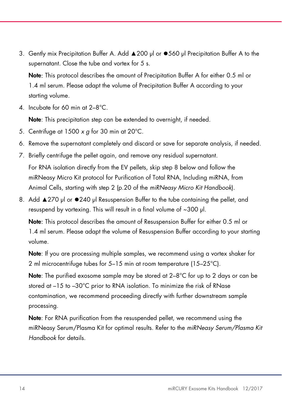3. Gently mix Precipitation Buffer A. Add ▲200 μl or ⚫560 μl Precipitation Buffer A to the supernatant. Close the tube and vortex for 5 s.

Note: This protocol describes the amount of Precipitation Buffer A for either 0.5 ml or 1.4 ml serum. Please adapt the volume of Precipitation Buffer A according to your starting volume.

4. Incubate for 60 min at 2–8°C.

Note: This precipitation step can be extended to overnight, if needed.

- 5. Centrifuge at  $1500 \times q$  for 30 min at 20°C.
- 6. Remove the supernatant completely and discard or save for separate analysis, if needed.
- 7. Briefly centrifuge the pellet again, and remove any residual supernatant. For RNA isolation directly from the EV pellets, skip step 8 below and follow the miRNeasy Micro Kit protocol for Purification of Total RNA, Including miRNA, from Animal Cells, starting with step 2 (p.20 of the miRNeasy Micro Kit Handbook).
- 8. Add ▲270 μl or ⚫240 μl Resuspension Buffer to the tube containing the pellet, and resuspend by vortexing. This will result in a final volume of ~300 μl.

Note: This protocol describes the amount of Resuspension Buffer for either 0.5 ml or 1.4 ml serum. Please adapt the volume of Resuspension Buffer according to your starting volume.

Note: If you are processing multiple samples, we recommend using a vortex shaker for 2 ml microcentrifuge tubes for 5–15 min at room temperature (15–25°C).

Note: The purified exosome sample may be stored at 2–8°C for up to 2 days or can be stored at –15 to –30°C prior to RNA isolation. To minimize the risk of RNase contamination, we recommend proceeding directly with further downstream sample processing.

Note: For RNA purification from the resuspended pellet, we recommend using the miRNeasy Serum/Plasma Kit for optimal results. Refer to the miRNeasy Serum/Plasma Kit Handbook for details.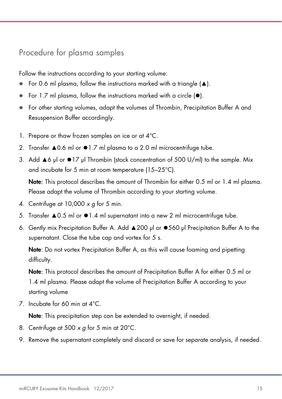#### Procedure for plasma samples

Follow the instructions according to your starting volume:

- For 0.6 ml plasma, follow the instructions marked with a triangle (▲).
- For 1.7 ml plasma, follow the instructions marked with a circle (⚫).
- For other starting volumes, adapt the volumes of Thrombin, Precipitation Buffer A and Resuspension Buffer accordingly.
- 1. Prepare or thaw frozen samples on ice or at 4°C.
- 2. Transfer ▲0.6 ml or ⚫1.7 ml plasma to a 2.0 ml microcentrifuge tube.
- 3. Add ▲6 μl or ⚫17 μl Thrombin (stock concentration of 500 U/ml) to the sample. Mix and incubate for 5 min at room temperature (15–25°C).

Note: This protocol describes the amount of Thrombin for either 0.5 ml or 1.4 ml plasma. Please adapt the volume of Thrombin according to your starting volume.

- 4. Centrifuge at  $10,000 \times g$  for 5 min.
- 5. Transfer ▲0.5 ml or ⚫1.4 ml supernatant into a new 2 ml microcentrifuge tube.
- 6. Gently mix Precipitation Buffer A. Add ▲200 μl or ⚫560 μl Precipitation Buffer A to the supernatant. Close the tube cap and vortex for 5 s.

Note: Do not vortex Precipitation Buffer A, as this will cause foaming and pipetting difficulty.

Note: This protocol describes the amount of Precipitation Buffer A for either 0.5 ml or 1.4 ml plasma. Please adapt the volume of Precipitation Buffer A according to your starting volume

7. Incubate for 60 min at 4°C.

Note: This precipitation step can be extended to overnight, if needed.

- 8. Centrifuge at 500  $\times$  g for 5 min at 20 $^{\circ}$ C.
- 9. Remove the supernatant completely and discard or save for separate analysis, if needed.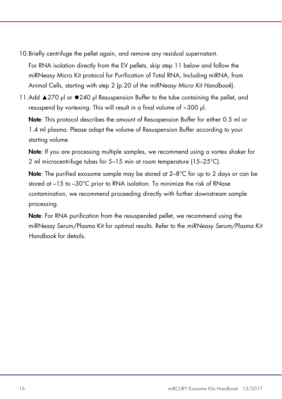10.Briefly centrifuge the pellet again, and remove any residual supernatant.

For RNA isolation directly from the EV pellets, skip step 11 below and follow the miRNeasy Micro Kit protocol for Purification of Total RNA, Including miRNA, from Animal Cells, starting with step 2 (p.20 of the miRNeasy Micro Kit Handbook).

11.Add ▲270 μl or ⚫240 μl Resuspension Buffer to the tube containing the pellet, and resuspend by vortexing. This will result in a final volume of ~300 μl.

Note: This protocol describes the amount of Resuspension Buffer for either 0.5 ml or 1.4 ml plasma. Please adapt the volume of Resuspension Buffer according to your starting volume

Note: If you are processing multiple samples, we recommend using a vortex shaker for 2 ml microcentrifuge tubes for 5–15 min at room temperature (15–25°C).

Note: The purified exosome sample may be stored at 2–8°C for up to 2 days or can be stored at –15 to –30°C prior to RNA isolation. To minimize the risk of RNase contamination, we recommend proceeding directly with further downstream sample processing.

Note: For RNA purification from the resuspended pellet, we recommend using the miRNeasy Serum/Plasma Kit for optimal results. Refer to the miRNeasy Serum/Plasma Kit Handbook for details.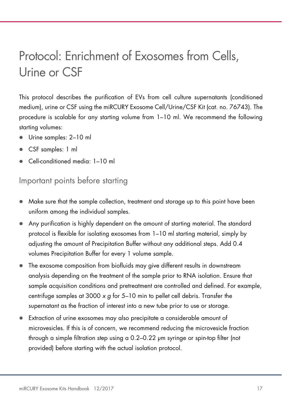## Protocol: Enrichment of Exosomes from Cells, Urine or CSF

This protocol describes the purification of EVs from cell culture supernatants (conditioned medium), urine or CSF using the miRCURY Exosome Cell/Urine/CSF Kit (cat. no. 76743). The procedure is scalable for any starting volume from 1–10 ml. We recommend the following starting volumes:

- Urine samples: 2–10 ml
- CSF samples: 1 ml
- Cell-conditioned media: 1–10 ml

### Important points before starting

- Make sure that the sample collection, treatment and storage up to this point have been uniform among the individual samples.
- Any purification is highly dependent on the amount of starting material. The standard protocol is flexible for isolating exosomes from 1–10 ml starting material, simply by adjusting the amount of Precipitation Buffer without any additional steps. Add 0.4 volumes Precipitation Buffer for every 1 volume sample.
- The exosome composition from biofluids may give different results in downstream analysis depending on the treatment of the sample prior to RNA isolation. Ensure that sample acquisition conditions and pretreatment are controlled and defined. For example, centrifuge samples at 3000  $\times$  g for 5–10 min to pellet cell debris. Transfer the supernatant as the fraction of interest into a new tube prior to use or storage.
- Extraction of urine exosomes may also precipitate a considerable amount of microvesicles. If this is of concern, we recommend reducing the microvesicle fraction through a simple filtration step using a 0.2–0.22 μm syringe or spin-top filter (not provided) before starting with the actual isolation protocol.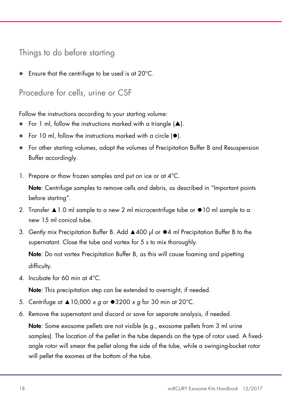### Things to do before starting

Ensure that the centrifuge to be used is at 20°C.

Procedure for cells, urine or CSF

Follow the instructions according to your starting volume:

- For 1 ml, follow the instructions marked with a triangle  $(\triangle)$ .
- For 10 ml, follow the instructions marked with a circle (⚫).
- For other starting volumes, adapt the volumes of Precipitation Buffer B and Resuspension Buffer accordingly.
- 1. Prepare or thaw frozen samples and put on ice or at 4°C.

Note: Centrifuge samples to remove cells and debris, as described in "Important points before starting".

- 2. Transfer ▲1.0 ml sample to a new 2 ml microcentrifuge tube or ⚫10 ml sample to a new 15 ml conical tube.
- 3. Gently mix Precipitation Buffer B. Add ▲400 μl or ⚫4 ml Precipitation Buffer B to the supernatant. Close the tube and vortex for 5 s to mix thoroughly.

Note: Do not vortex Precipitation Buffer B, as this will cause foaming and pipetting difficulty.

4. Incubate for 60 min at 4°C.

Note: This precipitation step can be extended to overnight, if needed.

- 5. Centrifuge at  $\triangle 10,000 \times g$  or  $\bullet 3200 \times g$  for 30 min at 20°C.
- 6. Remove the supernatant and discard or save for separate analysis, if needed.

Note: Some exosome pellets are not visible (e.g., exosome pellets from 3 ml urine samples). The location of the pellet in the tube depends on the type of rotor used. A fixedangle rotor will smear the pellet along the side of the tube, while a swinging-bucket rotor will pellet the exomes at the bottom of the tube.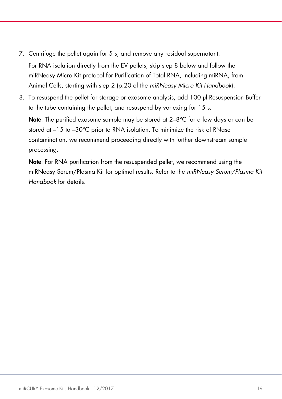7. Centrifuge the pellet again for 5 s, and remove any residual supernatant.

For RNA isolation directly from the EV pellets, skip step 8 below and follow the miRNeasy Micro Kit protocol for Purification of Total RNA, Including miRNA, from Animal Cells, starting with step 2 (p.20 of the miRNeasy Micro Kit Handbook).

8. To resuspend the pellet for storage or exosome analysis, add 100 μl Resuspension Buffer to the tube containing the pellet, and resuspend by vortexing for 15 s.

Note: The purified exosome sample may be stored at 2–8°C for a few days or can be stored at –15 to –30°C prior to RNA isolation. To minimize the risk of RNase contamination, we recommend proceeding directly with further downstream sample processing.

Note: For RNA purification from the resuspended pellet, we recommend using the miRNeasy Serum/Plasma Kit for optimal results. Refer to the miRNeasy Serum/Plasma Kit Handbook for details.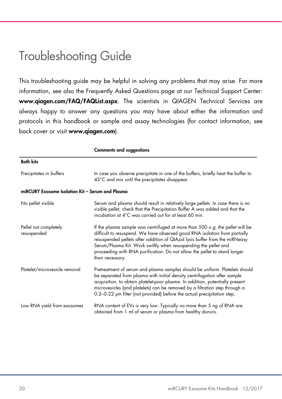### Troubleshooting Guide

This troubleshooting guide may be helpful in solving any problems that may arise. For more information, see also the Frequently Asked Questions page at our Technical Support Center: www.qiagen.com/FAQ/FAQList.aspx. The scientists in QIAGEN Technical Services are always happy to answer any questions you may have about either the information and protocols in this handbook or sample and assay technologies (for contact information, see back cover or visit www.qiagen.com).

|                                                  | <b>Comments and suggestions</b>                                                                                                                                                                                                                                                                                                                                                                                      |  |  |
|--------------------------------------------------|----------------------------------------------------------------------------------------------------------------------------------------------------------------------------------------------------------------------------------------------------------------------------------------------------------------------------------------------------------------------------------------------------------------------|--|--|
| <b>Both kits</b>                                 |                                                                                                                                                                                                                                                                                                                                                                                                                      |  |  |
| Precipitates in buffers                          | In case you observe precipitate in one of the buffers, briefly heat the buffer to<br>45°C and mix until the precipitates disappear.                                                                                                                                                                                                                                                                                  |  |  |
| miRCURY Exosome Isolation Kit – Serum and Plasma |                                                                                                                                                                                                                                                                                                                                                                                                                      |  |  |
| No pellet visible                                | Serum and plasma should result in relatively large pellets. In case there is no<br>visible pellet, check that the Precipitation Buffer A was added and that the<br>incubation at 4°C was carried out for at least 60 min.                                                                                                                                                                                            |  |  |
| Pellet not completely<br>resuspended             | If the plasma sample was centrifuged at more than 500 $\times$ g, the pellet will be<br>difficult to resuspend. We have observed good RNA isolation from partially<br>resuspended pellets after addition of QIAzol lysis buffer from the miRNeasy<br>Serum/Plasma Kit. Work swiftly when resuspending the pellet and<br>proceeding with RNA purification. Do not allow the pellet to stand longer<br>than necessary. |  |  |
| Platelet/microvesicle removal                    | Pretreatment of serum and plasma samples should be uniform. Platelets should<br>be separated from plasma with initial density centrifugation after sample<br>acquisition, to obtain platelet-poor plasma. In addition, potentially present<br>microvesicles (and platelets) can be removed by a filtration step through a<br>0.2-0.22 µm filter (not provided) before the actual precipitation step.                 |  |  |
| Low RNA yield from exosomes                      | RNA content of EVs is very low. Typically no more than 5 ng of RNA are<br>obtained from 1 ml of serum or plasma from healthy donors.                                                                                                                                                                                                                                                                                 |  |  |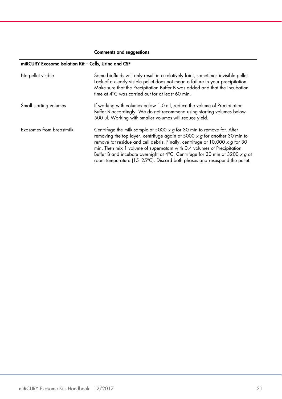#### Comments and suggestions

#### miRCURY Exosome Isolation Kit – Cells, Urine and CSF

| No pellet visible        | Some biofluids will only result in a relatively faint, sometimes invisible pellet.<br>Lack of a clearly visible pellet does not mean a failure in your precipitation.<br>Make sure that the Precipitation Buffer B was added and that the incubation<br>time at 4°C was carried out for at least 60 min.                                                                                                                                                                                                    |
|--------------------------|-------------------------------------------------------------------------------------------------------------------------------------------------------------------------------------------------------------------------------------------------------------------------------------------------------------------------------------------------------------------------------------------------------------------------------------------------------------------------------------------------------------|
| Small starting volumes   | If working with volumes below 1.0 ml, reduce the volume of Precipitation<br>Buffer B accordingly. We do not recommend using starting volumes below<br>500 µl. Working with smaller volumes will reduce yield.                                                                                                                                                                                                                                                                                               |
| Exosomes from breastmilk | Centrifuge the milk sample at 5000 $\times$ g for 30 min to remove fat. After<br>removing the top layer, centrifuge again at 5000 $\times$ g for another 30 min to<br>remove fat residue and cell debris. Finally, centrifuge at $10,000 \times g$ for 30<br>min. Then mix 1 volume of supernatant with 0.4 volumes of Precipitation<br>Buffer B and incubate overnight at $4^{\circ}$ C. Centrifuge for 30 min at 3200 x g at<br>room temperature (15–25°C). Discard both phases and resuspend the pellet. |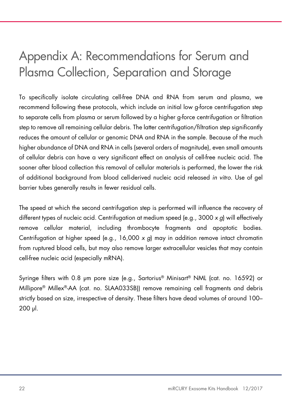# Appendix A: Recommendations for Serum and Plasma Collection, Separation and Storage

To specifically isolate circulating cell-free DNA and RNA from serum and plasma, we recommend following these protocols, which include an initial low g-force centrifugation step to separate cells from plasma or serum followed by a higher g-force centrifugation or filtration step to remove all remaining cellular debris. The latter centrifugation/filtration step significantly reduces the amount of cellular or genomic DNA and RNA in the sample. Because of the much higher abundance of DNA and RNA in cells (several orders of magnitude), even small amounts of cellular debris can have a very significant effect on analysis of cell-free nucleic acid. The sooner after blood collection this removal of cellular materials is performed, the lower the risk of additional background from blood cell-derived nucleic acid released in vitro. Use of gel barrier tubes generally results in fewer residual cells.

The speed at which the second centrifugation step is performed will influence the recovery of different types of nucleic acid. Centrifugation at medium speed (e.g., 3000 x g) will effectively remove cellular material, including thrombocyte fragments and apoptotic bodies. Centrifugation at higher speed (e.g.,  $16,000 \times g$ ) may in addition remove intact chromatin from ruptured blood cells, but may also remove larger extracellular vesicles that may contain cell-free nucleic acid (especially mRNA).

Syringe filters with 0.8 μm pore size (e.g., Sartorius® Minisart® NML (cat. no. 16592) or Millipore® Millex®-AA (cat. no. SLAA033SB)) remove remaining cell fragments and debris strictly based on size, irrespective of density. These filters have dead volumes of around 100– 200 μl.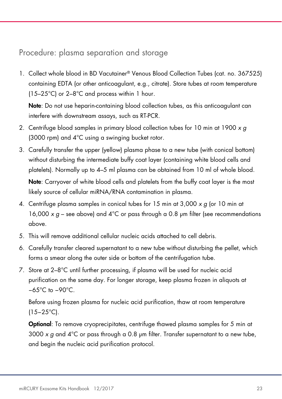#### Procedure: plasma separation and storage

1. Collect whole blood in BD Vacutainer® Venous Blood Collection Tubes (cat. no. 367525) containing EDTA (or other anticoagulant, e.g., citrate). Store tubes at room temperature (15–25°C) or 2–8°C and process within 1 hour.

Note: Do not use heparin-containing blood collection tubes, as this anticoagulant can interfere with downstream assays, such as RT-PCR.

- 2. Centrifuge blood samples in primary blood collection tubes for 10 min at 1900 x a (3000 rpm) and 4°C using a swinging bucket rotor.
- 3. Carefully transfer the upper (yellow) plasma phase to a new tube (with conical bottom) without disturbing the intermediate buffy coat layer (containing white blood cells and platelets). Normally up to 4–5 ml plasma can be obtained from 10 ml of whole blood.

Note: Carryover of white blood cells and platelets from the buffy coat layer is the most likely source of cellular miRNA/RNA contamination in plasma.

- 4. Centrifuge plasma samples in conical tubes for 15 min at 3,000 x g (or 10 min at 16,000 x  $g$  – see above) and 4°C or pass through a 0.8 µm filter (see recommendations above.
- 5. This will remove additional cellular nucleic acids attached to cell debris.
- 6. Carefully transfer cleared supernatant to a new tube without disturbing the pellet, which forms a smear along the outer side or bottom of the centrifugation tube.
- 7. Store at 2–8°C until further processing, if plasma will be used for nucleic acid purification on the same day. For longer storage, keep plasma frozen in aliquots at −65°C to −90°C.

Before using frozen plasma for nucleic acid purification, thaw at room temperature (15−25°C).

Optional: To remove cryoprecipitates, centrifuge thawed plasma samples for 5 min at 3000 x  $q$  and  $4^{\circ}$ C or pass through a 0.8 µm filter. Transfer supernatant to a new tube, and begin the nucleic acid purification protocol.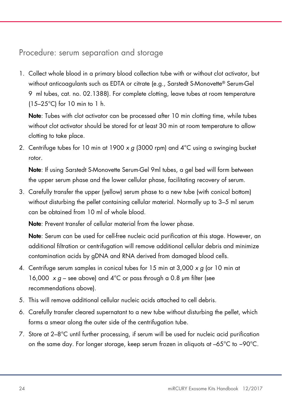### Procedure: serum separation and storage

1. Collect whole blood in a primary blood collection tube with or without clot activator, but without anticoagulants such as EDTA or citrate (e.g., Sarstedt S-Monovette® Serum-Gel 9 ml tubes, cat. no. 02.1388). For complete clotting, leave tubes at room temperature (15–25°C) for 10 min to 1 h.

Note: Tubes with clot activator can be processed after 10 min clotting time, while tubes without clot activator should be stored for at least 30 min at room temperature to allow clotting to take place.

2. Centrifuge tubes for 10 min at 1900 x g (3000 rpm) and  $4^{\circ}$ C using a swinging bucket rotor.

Note: If using Sarstedt S-Monovette Serum-Gel 9ml tubes, a gel bed will form between the upper serum phase and the lower cellular phase, facilitating recovery of serum.

3. Carefully transfer the upper (yellow) serum phase to a new tube (with conical bottom) without disturbing the pellet containing cellular material. Normally up to 3–5 ml serum can be obtained from 10 ml of whole blood.

Note: Prevent transfer of cellular material from the lower phase.

Note: Serum can be used for cell-free nucleic acid purification at this stage. However, an additional filtration or centrifugation will remove additional cellular debris and minimize contamination acids by gDNA and RNA derived from damaged blood cells.

- 4. Centrifuge serum samples in conical tubes for 15 min at 3,000 x g (or 10 min at 16,000  $\times$  g – see above) and 4°C or pass through a 0.8 µm filter (see recommendations above).
- 5. This will remove additional cellular nucleic acids attached to cell debris.
- 6. Carefully transfer cleared supernatant to a new tube without disturbing the pellet, which forms a smear along the outer side of the centrifugation tube.
- 7. Store at 2–8°C until further processing, if serum will be used for nucleic acid purification on the same day. For longer storage, keep serum frozen in aliquots at –65°C to −90°C.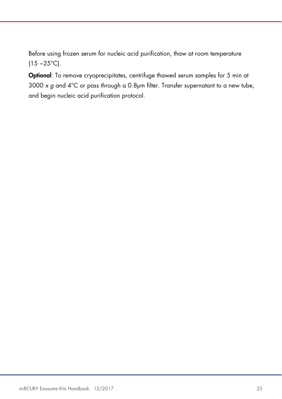Before using frozen serum for nucleic acid purification, thaw at room temperature (15 −25°C).

Optional: To remove cryoprecipitates, centrifuge thawed serum samples for 5 min at 3000 x g and  $4^{\circ}$ C or pass through a 0.8µm filter. Transfer supernatant to a new tube, and begin nucleic acid purification protocol.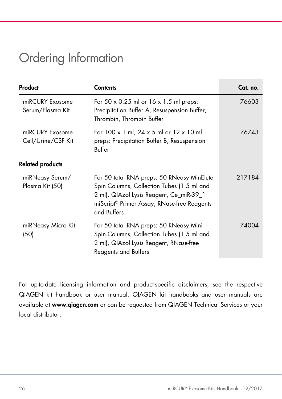## Ordering Information

| Product                               | <b>Contents</b>                                                                                                                                                                                    | Cat. no. |
|---------------------------------------|----------------------------------------------------------------------------------------------------------------------------------------------------------------------------------------------------|----------|
| miRCURY Exosome<br>Serum/Plasma Kit   | For 50 $\times$ 0.25 ml or 16 $\times$ 1.5 ml preps:<br>Precipitation Buffer A, Resuspension Buffer,<br>Thrombin, Thrombin Buffer                                                                  | 76603    |
| miRCURY Exosome<br>Cell/Urine/CSF Kit | For $100 \times 1$ ml, $24 \times 5$ ml or $12 \times 10$ ml<br>preps: Precipitation Buffer B, Resuspension<br>Buffer                                                                              | 76743    |
| <b>Related products</b>               |                                                                                                                                                                                                    |          |
| miRNeasy Serum/<br>Plasma Kit (50)    | For 50 total RNA preps: 50 RNeasy MinElute<br>Spin Columns, Collection Tubes (1.5 ml and<br>2 ml), QIAzol Lysis Reagent, Ce_miR-39_1<br>miScript® Primer Assay, RNase-free Reagents<br>and Buffers | 217184   |
| miRNeasy Micro Kit<br>(50)            | For 50 total RNA preps: 50 RNeasy Mini<br>Spin Columns, Collection Tubes (1.5 ml and<br>2 ml), QIAzol Lysis Reagent, RNase-free<br><b>Reagents and Buffers</b>                                     | 74004    |

For up-to-date licensing information and product-specific disclaimers, see the respective QIAGEN kit handbook or user manual. QIAGEN kit handbooks and user manuals are available at www.qiagen.com or can be requested from QIAGEN Technical Services or your local distributor.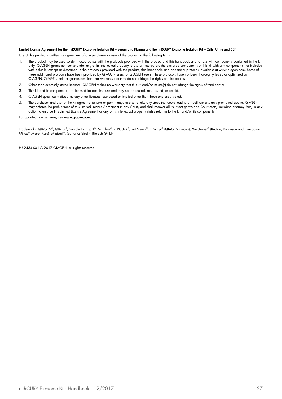#### Limited License Agreement for the miRCURY Exosome Isolation Kit – Serum and Plasma and the miRCURY Exosome Isolation Kit – Cells, Urine and CSF

Use of this product signifies the agreement of any purchaser or user of the product to the following terms:

- 1. The product may be used solely in accordance with the protocols provided with the product and this handbook and for use with components contained in the kit only. QIAGEN grants no license under any of its intellectual property to use or incorporate the enclosed components of this kit with any components not included within this kit except as described in the protocols provided with the product, this handbook, and additional protocols available at www.qiagen.com. Some of these additional protocols have been provided by QIAGEN users for QIAGEN users. These protocols have not been thoroughly tested or optimized by QIAGEN. QIAGEN neither guarantees them nor warrants that they do not infringe the rights of third-parties.
- 2. Other than expressly stated licenses, QIAGEN makes no warranty that this kit and/or its use(s) do not infringe the rights of third-parties.
- 3. This kit and its components are licensed for one-time use and may not be reused, refurbished, or resold.
- 4. QIAGEN specifically disclaims any other licenses, expressed or implied other than those expressly stated.
- 5. The purchaser and user of the kit agree not to take or permit anyone else to take any steps that could lead to or facilitate any acts prohibited above. QIAGEN may enforce the prohibitions of this Limited License Agreement in any Court, and shall recover all its investigative and Court costs, including attorney fees, in any action to enforce this Limited License Agreement or any of its intellectual property rights relating to the kit and/or its components.

For updated license terms, see www.qiagen.com.

Trademarks: QIAGEN®, QIAzol®, Sample to Insight®, MinElute®, miRCURY®, miRNeasy®, miScript® (QIAGEN Group); Vacutainer® (Becton, Dickinson and Company); Millex® (Merck KGa); Minisart®, (Sartorius Stedim Biotech GmbH).

HB-2434-001 © 2017 QIAGEN, all rights reserved.